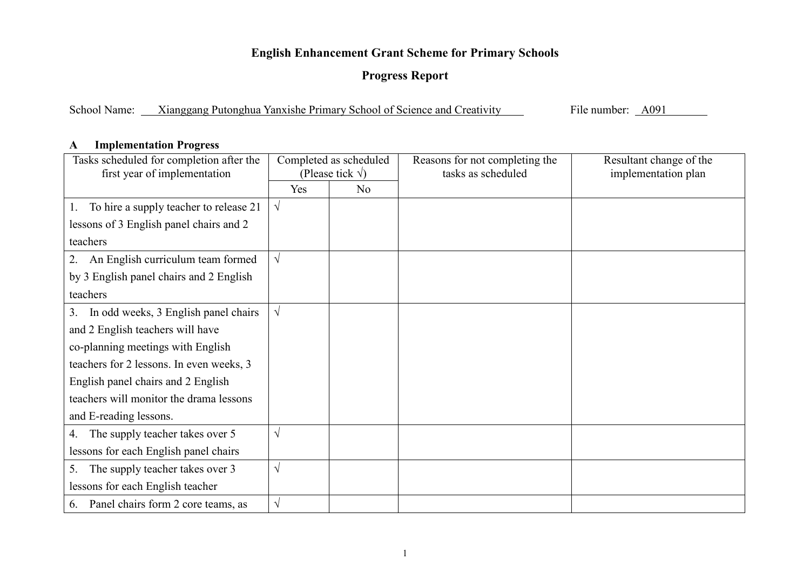## **English Enhancement Grant Scheme for Primary Schools**

## **Progress Report**

School Name: Xianggang Putonghua Yanxishe Primary School of Science and Creativity

File number: <u>A091</u>

## **AImplementation Progress**

| Tasks scheduled for completion after the<br>first year of implementation | Completed as scheduled<br>(Please tick $\sqrt{}$ ) |                | Reasons for not completing the<br>tasks as scheduled | Resultant change of the<br>implementation plan |
|--------------------------------------------------------------------------|----------------------------------------------------|----------------|------------------------------------------------------|------------------------------------------------|
|                                                                          | Yes                                                | N <sub>0</sub> |                                                      |                                                |
| To hire a supply teacher to release 21<br>Ι.                             | $\sqrt{ }$                                         |                |                                                      |                                                |
| lessons of 3 English panel chairs and 2                                  |                                                    |                |                                                      |                                                |
| teachers                                                                 |                                                    |                |                                                      |                                                |
| An English curriculum team formed<br>2.                                  | $\sqrt{ }$                                         |                |                                                      |                                                |
| by 3 English panel chairs and 2 English                                  |                                                    |                |                                                      |                                                |
| teachers                                                                 |                                                    |                |                                                      |                                                |
| In odd weeks, 3 English panel chairs<br>3.                               | $\sqrt{ }$                                         |                |                                                      |                                                |
| and 2 English teachers will have                                         |                                                    |                |                                                      |                                                |
| co-planning meetings with English                                        |                                                    |                |                                                      |                                                |
| teachers for 2 lessons. In even weeks, 3                                 |                                                    |                |                                                      |                                                |
| English panel chairs and 2 English                                       |                                                    |                |                                                      |                                                |
| teachers will monitor the drama lessons                                  |                                                    |                |                                                      |                                                |
| and E-reading lessons.                                                   |                                                    |                |                                                      |                                                |
| The supply teacher takes over 5<br>4.                                    | $\sqrt{ }$                                         |                |                                                      |                                                |
| lessons for each English panel chairs                                    |                                                    |                |                                                      |                                                |
| The supply teacher takes over 3<br>5.                                    | $\sqrt{ }$                                         |                |                                                      |                                                |
| lessons for each English teacher                                         |                                                    |                |                                                      |                                                |
| Panel chairs form 2 core teams, as<br>6.                                 | $\sqrt{}$                                          |                |                                                      |                                                |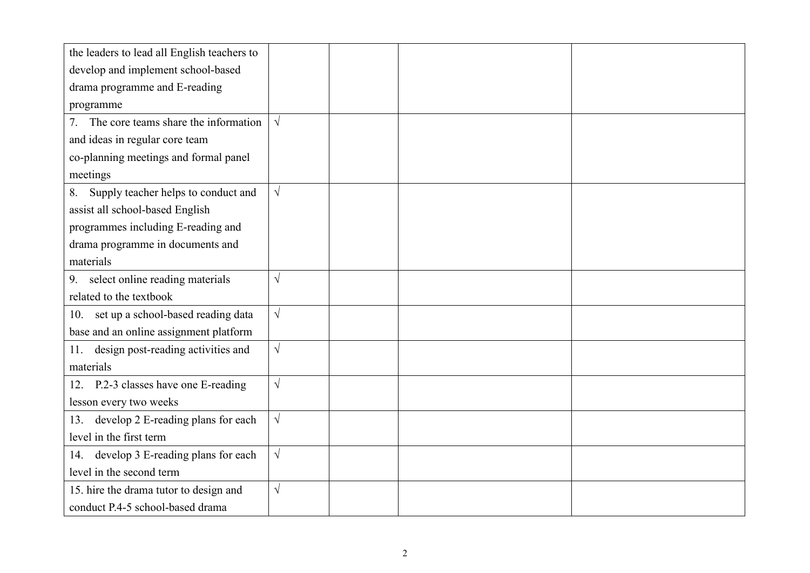| the leaders to lead all English teachers to |            |  |  |
|---------------------------------------------|------------|--|--|
| develop and implement school-based          |            |  |  |
| drama programme and E-reading               |            |  |  |
| programme                                   |            |  |  |
| The core teams share the information<br>7.  | $\sqrt{ }$ |  |  |
| and ideas in regular core team              |            |  |  |
| co-planning meetings and formal panel       |            |  |  |
| meetings                                    |            |  |  |
| Supply teacher helps to conduct and<br>8.   | $\sqrt{ }$ |  |  |
| assist all school-based English             |            |  |  |
| programmes including E-reading and          |            |  |  |
| drama programme in documents and            |            |  |  |
| materials                                   |            |  |  |
| select online reading materials<br>9.       | $\sqrt{}$  |  |  |
| related to the textbook                     |            |  |  |
| set up a school-based reading data<br>10.   | $\sqrt{}$  |  |  |
| base and an online assignment platform      |            |  |  |
| design post-reading activities and<br>11.   | $\sqrt{}$  |  |  |
| materials                                   |            |  |  |
| P.2-3 classes have one E-reading<br>12.     | $\sqrt{}$  |  |  |
| lesson every two weeks                      |            |  |  |
| develop 2 E-reading plans for each<br>13.   | $\sqrt{}$  |  |  |
| level in the first term                     |            |  |  |
| develop 3 E-reading plans for each<br>14.   | $\sqrt{}$  |  |  |
| level in the second term                    |            |  |  |
| 15. hire the drama tutor to design and      | $\sqrt{}$  |  |  |
| conduct P.4-5 school-based drama            |            |  |  |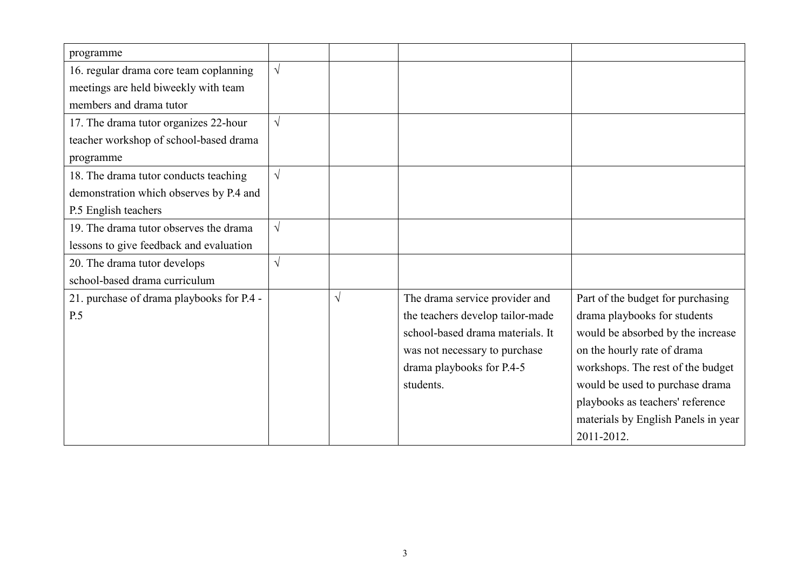| programme                                 |            |           |                                  |                                     |
|-------------------------------------------|------------|-----------|----------------------------------|-------------------------------------|
| 16. regular drama core team coplanning    | $\sqrt{ }$ |           |                                  |                                     |
| meetings are held biweekly with team      |            |           |                                  |                                     |
| members and drama tutor                   |            |           |                                  |                                     |
| 17. The drama tutor organizes 22-hour     | $\sqrt{ }$ |           |                                  |                                     |
| teacher workshop of school-based drama    |            |           |                                  |                                     |
| programme                                 |            |           |                                  |                                     |
| 18. The drama tutor conducts teaching     | $\sqrt{ }$ |           |                                  |                                     |
| demonstration which observes by P.4 and   |            |           |                                  |                                     |
| P.5 English teachers                      |            |           |                                  |                                     |
| 19. The drama tutor observes the drama    | $\sqrt{ }$ |           |                                  |                                     |
| lessons to give feedback and evaluation   |            |           |                                  |                                     |
| 20. The drama tutor develops              | $\sqrt{ }$ |           |                                  |                                     |
| school-based drama curriculum             |            |           |                                  |                                     |
| 21. purchase of drama playbooks for P.4 - |            | $\sqrt{}$ | The drama service provider and   | Part of the budget for purchasing   |
| P.5                                       |            |           | the teachers develop tailor-made | drama playbooks for students        |
|                                           |            |           | school-based drama materials. It | would be absorbed by the increase   |
|                                           |            |           | was not necessary to purchase    | on the hourly rate of drama         |
|                                           |            |           | drama playbooks for P.4-5        | workshops. The rest of the budget   |
|                                           |            |           | students.                        | would be used to purchase drama     |
|                                           |            |           |                                  | playbooks as teachers' reference    |
|                                           |            |           |                                  | materials by English Panels in year |
|                                           |            |           |                                  | 2011-2012.                          |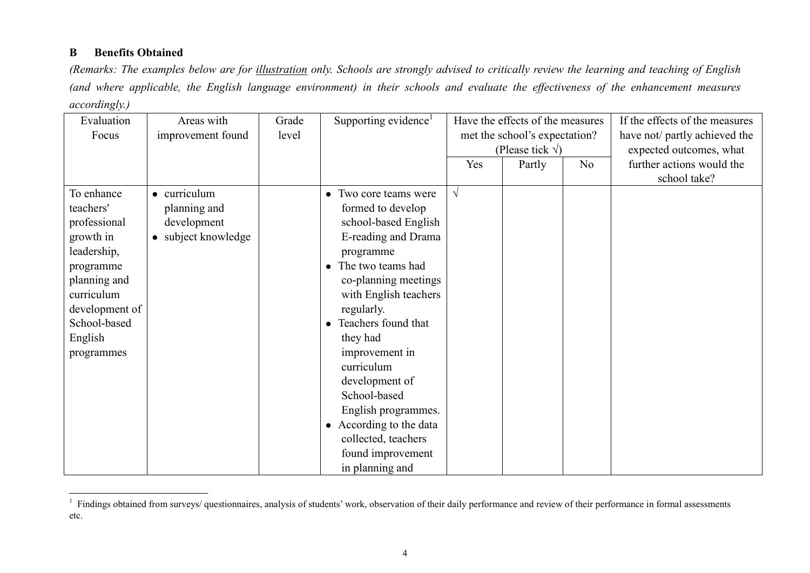## **B Benefits Obtained**

*(Remarks: The examples below are for illustration only. Schools are strongly advised to critically review the learning and teaching of English (and where applicable, the English language environment) in their schools and evaluate the effectiveness of the enhancement measures accordingly.)* 

| Evaluation<br>Focus                                                                                                                                                       | Areas with<br>improvement found                                    | Grade<br>level | Supporting evidence <sup>1</sup>                                                                                                                                                                                                                                                                                                                                                                                                                                 | Have the effects of the measures<br>met the school's expectation?<br>(Please tick $\sqrt{}$ ) |        |                | If the effects of the measures<br>have not/ partly achieved the<br>expected outcomes, what |
|---------------------------------------------------------------------------------------------------------------------------------------------------------------------------|--------------------------------------------------------------------|----------------|------------------------------------------------------------------------------------------------------------------------------------------------------------------------------------------------------------------------------------------------------------------------------------------------------------------------------------------------------------------------------------------------------------------------------------------------------------------|-----------------------------------------------------------------------------------------------|--------|----------------|--------------------------------------------------------------------------------------------|
|                                                                                                                                                                           |                                                                    |                |                                                                                                                                                                                                                                                                                                                                                                                                                                                                  | Yes                                                                                           | Partly | N <sub>o</sub> | further actions would the<br>school take?                                                  |
| To enhance<br>teachers'<br>professional<br>growth in<br>leadership,<br>programme<br>planning and<br>curriculum<br>development of<br>School-based<br>English<br>programmes | • curriculum<br>planning and<br>development<br>• subject knowledge |                | Two core teams were<br>$\bullet$<br>formed to develop<br>school-based English<br>E-reading and Drama<br>programme<br>The two teams had<br>$\bullet$<br>co-planning meetings<br>with English teachers<br>regularly.<br>Teachers found that<br>$\bullet$<br>they had<br>improvement in<br>curriculum<br>development of<br>School-based<br>English programmes.<br>According to the data<br>$\bullet$<br>collected, teachers<br>found improvement<br>in planning and | $\sqrt{}$                                                                                     |        |                |                                                                                            |

<sup>&</sup>lt;sup>1</sup> Findings obtained from surveys/ questionnaires, analysis of students' work, observation of their daily performance and review of their performance in formal assessments etc.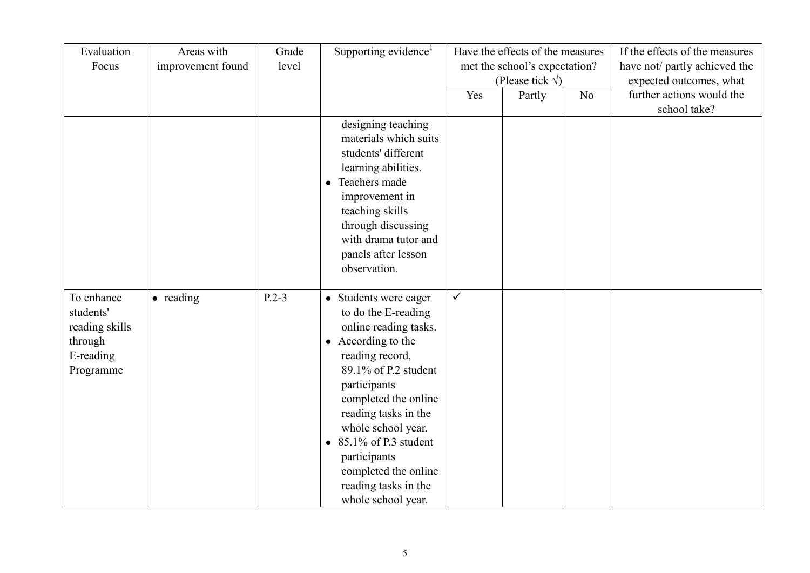| Evaluation<br>Focus                                                            | Areas with<br>improvement found | Grade<br>level | Supporting evidence <sup>1</sup>                                                                                                                                                                                                                                                                                                                     | Have the effects of the measures<br>met the school's expectation?<br>(Please tick $\sqrt{}$ ) |        |                | If the effects of the measures<br>have not/ partly achieved the<br>expected outcomes, what |
|--------------------------------------------------------------------------------|---------------------------------|----------------|------------------------------------------------------------------------------------------------------------------------------------------------------------------------------------------------------------------------------------------------------------------------------------------------------------------------------------------------------|-----------------------------------------------------------------------------------------------|--------|----------------|--------------------------------------------------------------------------------------------|
|                                                                                |                                 |                |                                                                                                                                                                                                                                                                                                                                                      | Yes                                                                                           | Partly | N <sub>o</sub> | further actions would the<br>school take?                                                  |
|                                                                                |                                 |                | designing teaching<br>materials which suits<br>students' different<br>learning abilities.<br>Teachers made<br>$\bullet$<br>improvement in<br>teaching skills<br>through discussing<br>with drama tutor and<br>panels after lesson<br>observation.                                                                                                    |                                                                                               |        |                |                                                                                            |
| To enhance<br>students'<br>reading skills<br>through<br>E-reading<br>Programme | • reading                       | $P.2-3$        | • Students were eager<br>to do the E-reading<br>online reading tasks.<br>• According to the<br>reading record,<br>89.1% of P.2 student<br>participants<br>completed the online<br>reading tasks in the<br>whole school year.<br>$\bullet$ 85.1% of P.3 student<br>participants<br>completed the online<br>reading tasks in the<br>whole school year. | $\checkmark$                                                                                  |        |                |                                                                                            |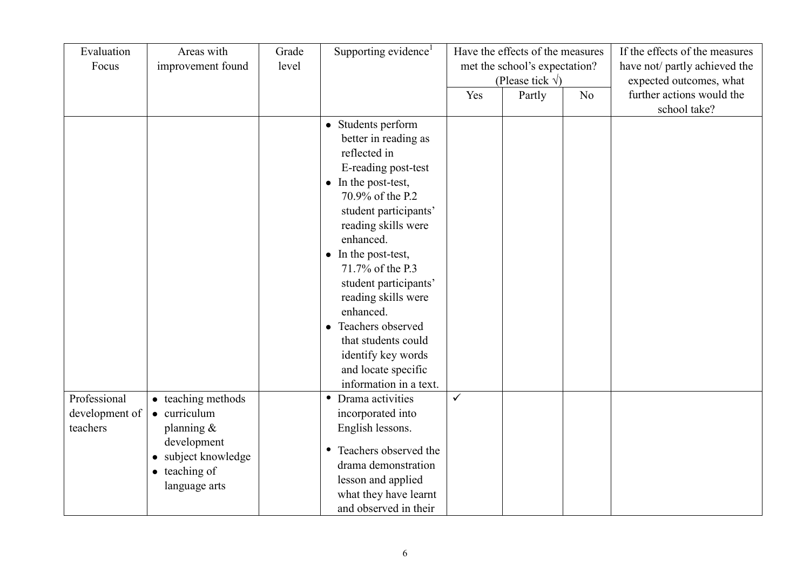| Evaluation<br>Focus                        | Areas with<br>improvement found                                                                                                     | Grade<br>level | Supporting evidence <sup>1</sup>                                                                                                                                                                                                                                                                                                                                                                                                  | Have the effects of the measures<br>met the school's expectation?<br>(Please tick $\sqrt{}$ ) |        |    | If the effects of the measures<br>have not/ partly achieved the<br>expected outcomes, what |
|--------------------------------------------|-------------------------------------------------------------------------------------------------------------------------------------|----------------|-----------------------------------------------------------------------------------------------------------------------------------------------------------------------------------------------------------------------------------------------------------------------------------------------------------------------------------------------------------------------------------------------------------------------------------|-----------------------------------------------------------------------------------------------|--------|----|--------------------------------------------------------------------------------------------|
|                                            |                                                                                                                                     |                |                                                                                                                                                                                                                                                                                                                                                                                                                                   | Yes                                                                                           | Partly | No | further actions would the                                                                  |
|                                            |                                                                                                                                     |                |                                                                                                                                                                                                                                                                                                                                                                                                                                   |                                                                                               |        |    | school take?                                                                               |
|                                            |                                                                                                                                     |                | • Students perform<br>better in reading as<br>reflected in<br>E-reading post-test<br>• In the post-test,<br>70.9% of the P.2<br>student participants'<br>reading skills were<br>enhanced.<br>• In the post-test,<br>71.7% of the P.3<br>student participants'<br>reading skills were<br>enhanced.<br>Teachers observed<br>$\bullet$<br>that students could<br>identify key words<br>and locate specific<br>information in a text. |                                                                                               |        |    |                                                                                            |
| Professional<br>development of<br>teachers | • teaching methods<br>• curriculum<br>planning $\&$<br>development<br>• subject knowledge<br>$\bullet$ teaching of<br>language arts |                | Drama activities<br>$\bullet$<br>incorporated into<br>English lessons.<br>Teachers observed the<br>$\bullet$<br>drama demonstration<br>lesson and applied                                                                                                                                                                                                                                                                         | $\checkmark$                                                                                  |        |    |                                                                                            |
|                                            |                                                                                                                                     |                | what they have learnt<br>and observed in their                                                                                                                                                                                                                                                                                                                                                                                    |                                                                                               |        |    |                                                                                            |